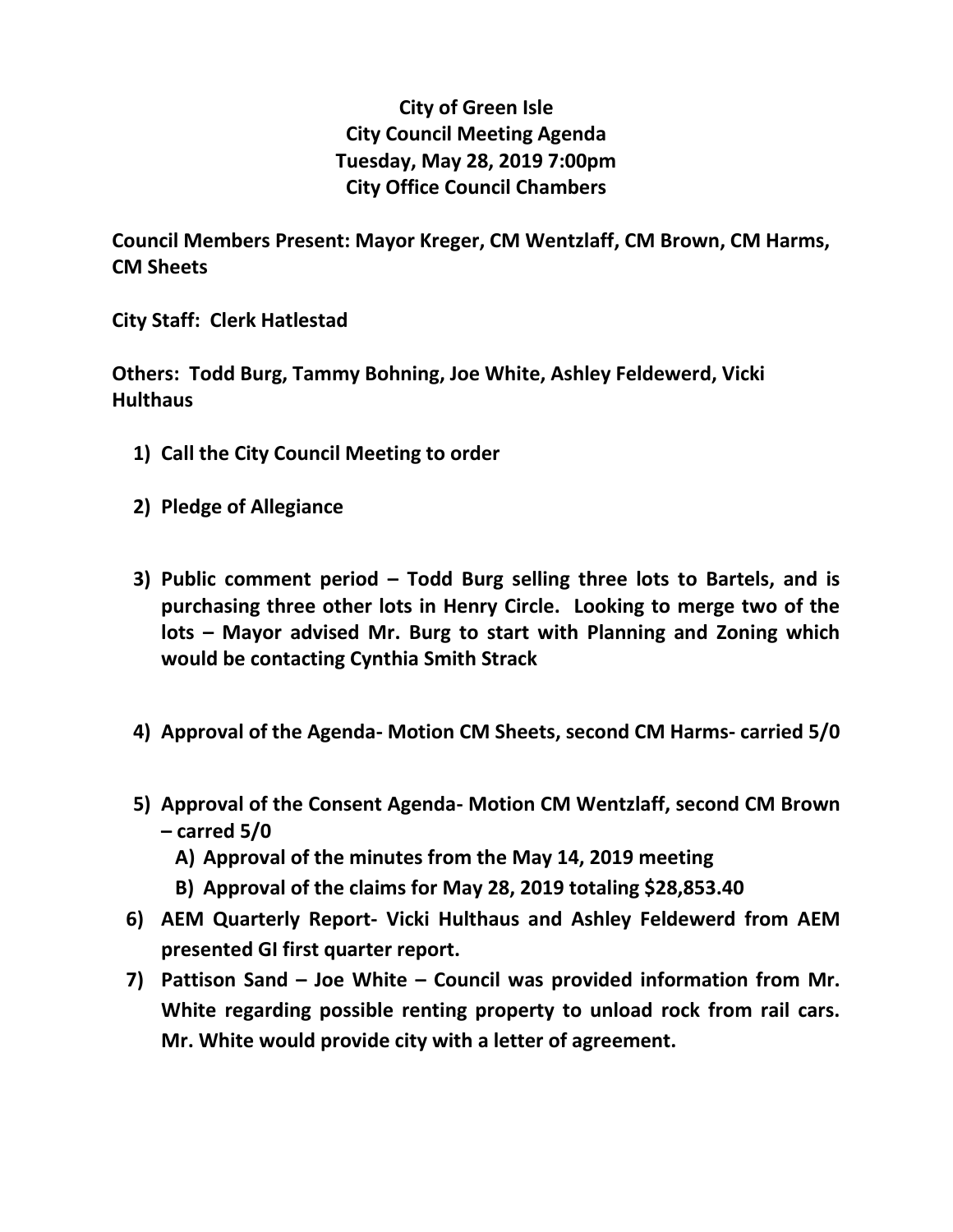## **City of Green Isle City Council Meeting Agenda Tuesday, May 28, 2019 7:00pm City Office Council Chambers**

**Council Members Present: Mayor Kreger, CM Wentzlaff, CM Brown, CM Harms, CM Sheets**

**City Staff: Clerk Hatlestad**

**Others: Todd Burg, Tammy Bohning, Joe White, Ashley Feldewerd, Vicki Hulthaus**

- **1) Call the City Council Meeting to order**
- **2) Pledge of Allegiance**
- **3) Public comment period – Todd Burg selling three lots to Bartels, and is purchasing three other lots in Henry Circle. Looking to merge two of the lots – Mayor advised Mr. Burg to start with Planning and Zoning which would be contacting Cynthia Smith Strack**
- **4) Approval of the Agenda- Motion CM Sheets, second CM Harms- carried 5/0**
- **5) Approval of the Consent Agenda- Motion CM Wentzlaff, second CM Brown – carred 5/0**
	- **A) Approval of the minutes from the May 14, 2019 meeting**
	- **B) Approval of the claims for May 28, 2019 totaling \$28,853.40**
- **6) AEM Quarterly Report- Vicki Hulthaus and Ashley Feldewerd from AEM presented GI first quarter report.**
- **7) Pattison Sand – Joe White – Council was provided information from Mr. White regarding possible renting property to unload rock from rail cars. Mr. White would provide city with a letter of agreement.**